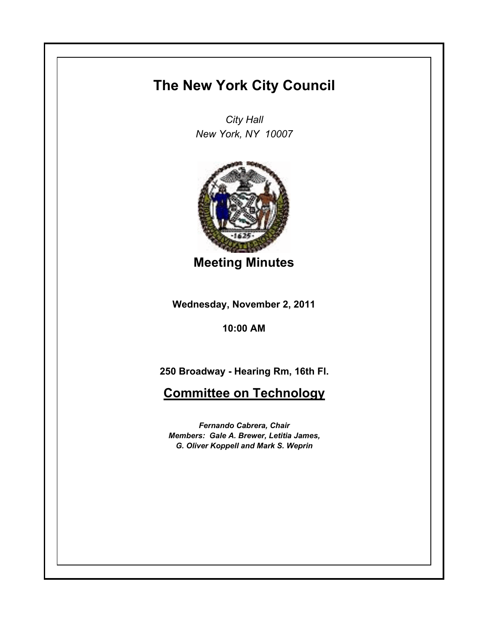## **The New York City Council**

*City Hall New York, NY 10007*



**Meeting Minutes**

**Wednesday, November 2, 2011**

**10:00 AM**

**250 Broadway - Hearing Rm, 16th Fl.**

**Committee on Technology**

*Fernando Cabrera, Chair Members: Gale A. Brewer, Letitia James, G. Oliver Koppell and Mark S. Weprin*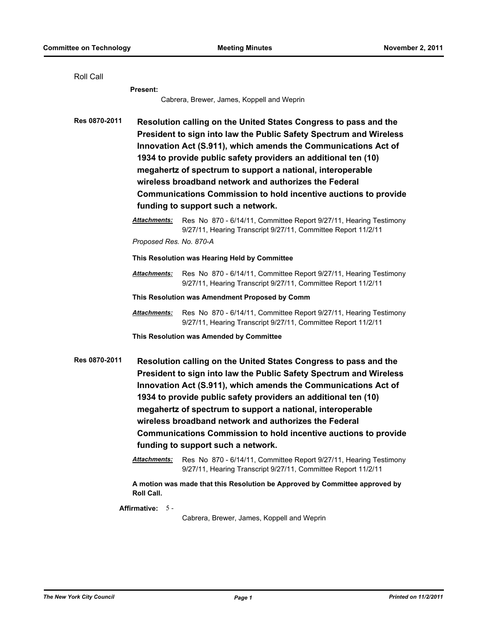| Roll Call                                           |                                                                                                                                                                                                                                                                                                                                                                                                                                                                                                                   |                                                                                                                                                                                                                                                                                                                                                                                                                                                                             |
|-----------------------------------------------------|-------------------------------------------------------------------------------------------------------------------------------------------------------------------------------------------------------------------------------------------------------------------------------------------------------------------------------------------------------------------------------------------------------------------------------------------------------------------------------------------------------------------|-----------------------------------------------------------------------------------------------------------------------------------------------------------------------------------------------------------------------------------------------------------------------------------------------------------------------------------------------------------------------------------------------------------------------------------------------------------------------------|
|                                                     | <b>Present:</b>                                                                                                                                                                                                                                                                                                                                                                                                                                                                                                   |                                                                                                                                                                                                                                                                                                                                                                                                                                                                             |
|                                                     | Cabrera, Brewer, James, Koppell and Weprin                                                                                                                                                                                                                                                                                                                                                                                                                                                                        |                                                                                                                                                                                                                                                                                                                                                                                                                                                                             |
| Res 0870-2011                                       | Resolution calling on the United States Congress to pass and the<br>President to sign into law the Public Safety Spectrum and Wireless<br>Innovation Act (S.911), which amends the Communications Act of<br>1934 to provide public safety providers an additional ten (10)<br>megahertz of spectrum to support a national, interoperable<br>wireless broadband network and authorizes the Federal<br><b>Communications Commission to hold incentive auctions to provide</b><br>funding to support such a network. |                                                                                                                                                                                                                                                                                                                                                                                                                                                                             |
|                                                     | Attachments:                                                                                                                                                                                                                                                                                                                                                                                                                                                                                                      | Res No 870 - 6/14/11, Committee Report 9/27/11, Hearing Testimony<br>9/27/11, Hearing Transcript 9/27/11, Committee Report 11/2/11                                                                                                                                                                                                                                                                                                                                          |
|                                                     | Proposed Res. No. 870-A                                                                                                                                                                                                                                                                                                                                                                                                                                                                                           |                                                                                                                                                                                                                                                                                                                                                                                                                                                                             |
|                                                     | This Resolution was Hearing Held by Committee                                                                                                                                                                                                                                                                                                                                                                                                                                                                     |                                                                                                                                                                                                                                                                                                                                                                                                                                                                             |
|                                                     | <b>Attachments:</b>                                                                                                                                                                                                                                                                                                                                                                                                                                                                                               | Res No 870 - 6/14/11, Committee Report 9/27/11, Hearing Testimony<br>9/27/11, Hearing Transcript 9/27/11, Committee Report 11/2/11                                                                                                                                                                                                                                                                                                                                          |
|                                                     | This Resolution was Amendment Proposed by Comm                                                                                                                                                                                                                                                                                                                                                                                                                                                                    |                                                                                                                                                                                                                                                                                                                                                                                                                                                                             |
|                                                     | <b>Attachments:</b>                                                                                                                                                                                                                                                                                                                                                                                                                                                                                               | Res No 870 - 6/14/11, Committee Report 9/27/11, Hearing Testimony<br>9/27/11, Hearing Transcript 9/27/11, Committee Report 11/2/11                                                                                                                                                                                                                                                                                                                                          |
|                                                     | This Resolution was Amended by Committee                                                                                                                                                                                                                                                                                                                                                                                                                                                                          |                                                                                                                                                                                                                                                                                                                                                                                                                                                                             |
| Res 0870-2011<br>funding to support such a network. |                                                                                                                                                                                                                                                                                                                                                                                                                                                                                                                   | Resolution calling on the United States Congress to pass and the<br>President to sign into law the Public Safety Spectrum and Wireless<br>Innovation Act (S.911), which amends the Communications Act of<br>1934 to provide public safety providers an additional ten (10)<br>megahertz of spectrum to support a national, interoperable<br>wireless broadband network and authorizes the Federal<br><b>Communications Commission to hold incentive auctions to provide</b> |
|                                                     | Attachments:                                                                                                                                                                                                                                                                                                                                                                                                                                                                                                      | Res No 870 - 6/14/11, Committee Report 9/27/11, Hearing Testimony<br>9/27/11, Hearing Transcript 9/27/11, Committee Report 11/2/11                                                                                                                                                                                                                                                                                                                                          |
|                                                     | Roll Call.                                                                                                                                                                                                                                                                                                                                                                                                                                                                                                        | A motion was made that this Resolution be Approved by Committee approved by                                                                                                                                                                                                                                                                                                                                                                                                 |
|                                                     | Affirmative: 5-                                                                                                                                                                                                                                                                                                                                                                                                                                                                                                   | Cabrera, Brewer, James, Koppell and Weprin                                                                                                                                                                                                                                                                                                                                                                                                                                  |